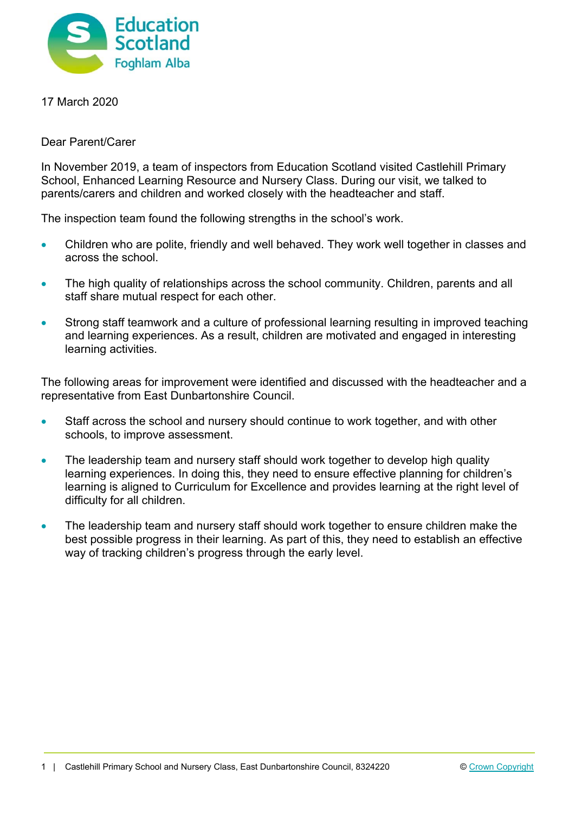

17 March 2020

Dear Parent/Carer

In November 2019, a team of inspectors from Education Scotland visited Castlehill Primary School, Enhanced Learning Resource and Nursery Class. During our visit, we talked to parents/carers and children and worked closely with the headteacher and staff.

The inspection team found the following strengths in the school's work.

- Children who are polite, friendly and well behaved. They work well together in classes and across the school.
- The high quality of relationships across the school community. Children, parents and all staff share mutual respect for each other.
- Strong staff teamwork and a culture of professional learning resulting in improved teaching and learning experiences. As a result, children are motivated and engaged in interesting learning activities.

The following areas for improvement were identified and discussed with the headteacher and a representative from East Dunbartonshire Council.

- Staff across the school and nursery should continue to work together, and with other schools, to improve assessment.
- The leadership team and nursery staff should work together to develop high quality learning experiences. In doing this, they need to ensure effective planning for children's learning is aligned to Curriculum for Excellence and provides learning at the right level of difficulty for all children.
- The leadership team and nursery staff should work together to ensure children make the best possible progress in their learning. As part of this, they need to establish an effective way of tracking children's progress through the early level.